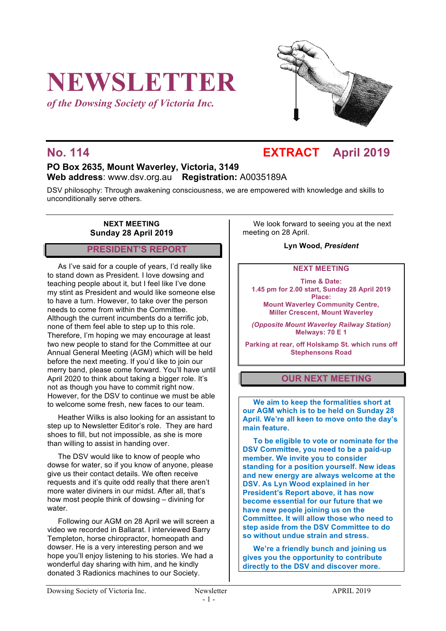# **NEWSLETTER**

*of the Dowsing Society of Victoria Inc.*



## **No. 114 EXTRACT April 2019**

#### **PO Box 2635, Mount Waverley, Victoria, 3149 Web address**: www.dsv.org.au **Registration:** A0035189A

DSV philosophy: Through awakening consciousness, we are empowered with knowledge and skills to unconditionally serve others.

#### **NEXT MEETING Sunday 28 April 2019**

#### **PRESIDENT'S REPORT**

As I've said for a couple of years, I'd really like to stand down as President. I love dowsing and teaching people about it, but I feel like I've done my stint as President and would like someone else to have a turn. However, to take over the person needs to come from within the Committee. Although the current incumbents do a terrific job, none of them feel able to step up to this role. Therefore, I'm hoping we may encourage at least two new people to stand for the Committee at our Annual General Meeting (AGM) which will be held before the next meeting. If you'd like to join our merry band, please come forward. You'll have until April 2020 to think about taking a bigger role. It's not as though you have to commit right now. However, for the DSV to continue we must be able to welcome some fresh, new faces to our team.

Heather Wilks is also looking for an assistant to step up to Newsletter Editor's role. They are hard shoes to fill, but not impossible, as she is more than willing to assist in handing over.

The DSV would like to know of people who dowse for water, so if you know of anyone, please give us their contact details. We often receive requests and it's quite odd really that there aren't more water diviners in our midst. After all, that's how most people think of dowsing – divining for water

Following our AGM on 28 April we will screen a video we recorded in Ballarat. I interviewed Barry Templeton, horse chiropractor, homeopath and dowser. He is a very interesting person and we hope you'll enjoy listening to his stories. We had a wonderful day sharing with him, and he kindly donated 3 Radionics machines to our Society.

We look forward to seeing you at the next meeting on 28 April.

**Lyn Wood,** *President*

#### **NEXT MEETING**

**Time & Date: 1.45 pm for 2.00 start, Sunday 28 April 2019 Place: Mount Waverley Community Centre, Miller Crescent, Mount Waverley**

*(Opposite Mount Waverley Railway Station)* **Melways: 70 E 1**

**Parking at rear, off Holskamp St. which runs off Stephensons Road**

#### **OUR NEXT MEETING**

**We aim to keep the formalities short at our AGM which is to be held on Sunday 28 April. We're all keen to move onto the day's main feature.**

**To be eligible to vote or nominate for the DSV Committee, you need to be a paid-up member. We invite you to consider standing for a position yourself. New ideas and new energy are always welcome at the DSV. As Lyn Wood explained in her President's Report above, it has now become essential for our future that we have new people joining us on the Committee. It will allow those who need to step aside from the DSV Committee to do so without undue strain and stress.**

**We're a friendly bunch and joining us gives you the opportunity to contribute directly to the DSV and discover more.**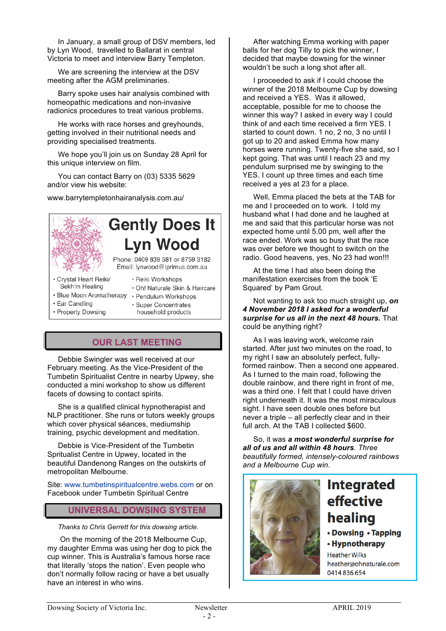In January, a small group of DSV members, led by Lyn Wood, travelled to Ballarat in central Victoria to meet and interview Barry Templeton.

We are screening the interview at the DSV meeting after the AGM preliminaries.

Barry spoke uses hair analysis combined with homeopathic medications and non-invasive radionics procedures to treat various problems.

He works with race horses and greyhounds, getting involved in their nutritional needs and providing specialised treatments.

We hope you'll join us on Sunday 28 April for this unique interview on film.

You can contact Barry on (03) 5335 5629 and/or view his website:

www.barrytempletonhairanalysis.com.au/

## **Gently Does It Lyn Wood**

Phone: 0409 839 581 or 8759 3182 Email: lynwood@iprimus.com.au

· Reiki Workshops

- · Crystal Heart Reiki/ Sekh'm Healing
- · Blue Moon Aromatherapy · Pendulum Workshops
- · Ear Candling

· Oh! Naturale Skin & Haircare

- 
- · Property Dowsing
- · Super Concentrates
- household products

### **OUR LAST MEETING**

Debbie Swingler was well received at our February meeting. As the Vice-President of the Tumbetin Spiritualist Centre in nearby Upwey, she conducted a mini workshop to show us different facets of dowsing to contact spirits.

She is a qualified clinical hypnotherapist and NLP practitioner. She runs or tutors weekly groups which cover physical séances, mediumship training, psychic development and meditation.

Debbie is Vice-President of the Tumbetin Spritualist Centre in Upwey, located in the beautiful Dandenong Ranges on the outskirts of metropolitan Melbourne.

Site: www.tumbetinspiritualcentre.webs.com or on Facebook under Tumbetin Spiritual Centre

#### **UNIVERSAL DOWSING SYSTEM**

*Thanks to Chris Gerrett for this dowsing article.*

On the morning of the 2018 Melbourne Cup, my daughter Emma was using her dog to pick the cup winner. This is Australia's famous horse race that literally 'stops the nation'. Even people who don't normally follow racing or have a bet usually have an interest in who wins.

After watching Emma working with paper balls for her dog Tilly to pick the winner, I decided that maybe dowsing for the winner wouldn't be such a long shot after all.

I proceeded to ask if I could choose the winner of the 2018 Melbourne Cup by dowsing and received a YES. Was it allowed, acceptable, possible for me to choose the winner this way? I asked in every way I could think of and each time received a firm YES. I started to count down. 1 no, 2 no, 3 no until I got up to 20 and asked Emma how many horses were running. Twenty-five she said, so I kept going. That was until I reach 23 and my pendulum surprised me by swinging to the YES. I count up three times and each time received a yes at 23 for a place.

Well, Emma placed the bets at the TAB for me and I proceeded on to work. I told my husband what I had done and he laughed at me and said that this particular horse was not expected home until 5.00 pm, well after the race ended. Work was so busy that the race was over before we thought to switch on the radio. Good heavens, yes, No 23 had won!!!

At the time I had also been doing the manifestation exercises from the book 'E Squared' by Pam Grout.

Not wanting to ask too much straight up, *on 4 November 2018 I asked for a wonderful surprise for us all in the next 48 hours.* That could be anything right?

As I was leaving work, welcome rain started. After just two minutes on the road, to my right I saw an absolutely perfect, fullyformed rainbow. Then a second one appeared. As I turned to the main road, following the double rainbow, and there right in front of me. was a third one. I felt that I could have driven right underneath it. It was the most miraculous sight. I have seen double ones before but never a triple – all perfectly clear and in their full arch. At the TAB I collected \$600.

So, it was *a most wonderful surprise for all of us and all within 48 hours. Three beautifully formed, intensely-coloured rainbows and a Melbourne Cup win.* 



# **Integrated** effective healing

- Dowsing Tapping
- Hypnotherapy

**Heather Wilks** heather@ohnaturale.com 0414836654